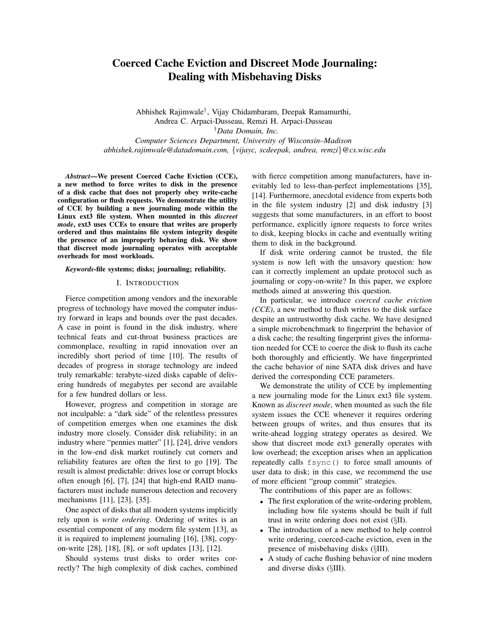# Coerced Cache Eviction and Discreet Mode Journaling: Dealing with Misbehaving Disks

Abhishek Rajimwale† , Vijay Chidambaram, Deepak Ramamurthi, Andrea C. Arpaci-Dusseau, Remzi H. Arpaci-Dusseau †*Data Domain, Inc. Computer Sciences Department, University of Wisconsin–Madison*

*abhishek.rajimwale@datadomain.com,* {*vijayc, scdeepak, andrea, remzi*}*@cs.wisc.edu*

*Abstract*—We present Coerced Cache Eviction (CCE), a new method to force writes to disk in the presence of a disk cache that does not properly obey write-cache configuration or flush requests. We demonstrate the utility of CCE by building a new journaling mode within the Linux ext3 file system. When mounted in this *discreet mode*, ext3 uses CCEs to ensure that writes are properly ordered and thus maintains file system integrity despite the presence of an improperly behaving disk. We show that discreet mode journaling operates with acceptable overheads for most workloads.

#### *Keywords*-file systems; disks; journaling; reliability.

# I. INTRODUCTION

Fierce competition among vendors and the inexorable progress of technology have moved the computer industry forward in leaps and bounds over the past decades. A case in point is found in the disk industry, where technical feats and cut-throat business practices are commonplace, resulting in rapid innovation over an incredibly short period of time [10]. The results of decades of progress in storage technology are indeed truly remarkable: terabyte-sized disks capable of delivering hundreds of megabytes per second are available for a few hundred dollars or less.

However, progress and competition in storage are not inculpable: a "dark side" of the relentless pressures of competition emerges when one examines the disk industry more closely. Consider disk reliability; in an industry where "pennies matter" [1], [24], drive vendors in the low-end disk market routinely cut corners and reliability features are often the first to go [19]. The result is almost predictable: drives lose or corrupt blocks often enough [6], [7], [24] that high-end RAID manufacturers must include numerous detection and recovery mechanisms [11], [23], [35].

One aspect of disks that all modern systems implicitly rely upon is *write ordering*. Ordering of writes is an essential component of any modern file system [13], as it is required to implement journaling [16], [38], copyon-write [28], [18], [8], or soft updates [13], [12].

Should systems trust disks to order writes correctly? The high complexity of disk caches, combined with fierce competition among manufacturers, have inevitably led to less-than-perfect implementations [35], [14]. Furthermore, anecdotal evidence from experts both in the file system industry [2] and disk industry [3] suggests that some manufacturers, in an effort to boost performance, explicitly ignore requests to force writes to disk, keeping blocks in cache and eventually writing them to disk in the background.

If disk write ordering cannot be trusted, the file system is now left with the unsavory question: how can it correctly implement an update protocol such as journaling or copy-on-write? In this paper, we explore methods aimed at answering this question.

In particular, we introduce *coerced cache eviction (CCE)*, a new method to flush writes to the disk surface despite an untrustworthy disk cache. We have designed a simple microbenchmark to fingerprint the behavior of a disk cache; the resulting fingerprint gives the information needed for CCE to coerce the disk to flush its cache both thoroughly and efficiently. We have fingerprinted the cache behavior of nine SATA disk drives and have derived the corresponding CCE parameters.

We demonstrate the utility of CCE by implementing a new journaling mode for the Linux ext3 file system. Known as *discreet mode*, when mounted as such the file system issues the CCE whenever it requires ordering between groups of writes, and thus ensures that its write-ahead logging strategy operates as desired. We show that discreet mode ext3 generally operates with low overhead; the exception arises when an application repeatedly calls fsync() to force small amounts of user data to disk; in this case, we recommend the use of more efficient "group commit" strategies.

The contributions of this paper are as follows:

- The first exploration of the write-ordering problem, including how file systems should be built if full trust in write ordering does not exist (§II).
- The introduction of a new method to help control write ordering, coerced-cache eviction, even in the presence of misbehaving disks (§III).
- A study of cache flushing behavior of nine modern and diverse disks (§III).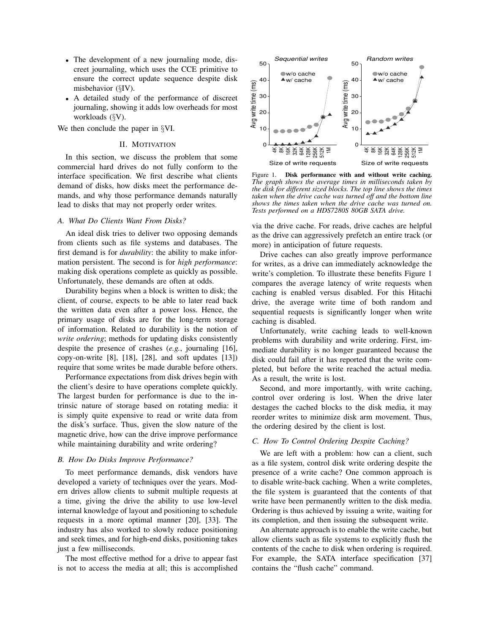- The development of a new journaling mode, discreet journaling, which uses the CCE primitive to ensure the correct update sequence despite disk misbehavior (§IV).
- A detailed study of the performance of discreet journaling, showing it adds low overheads for most workloads (§V).

We then conclude the paper in §VI.

# II. MOTIVATION

In this section, we discuss the problem that some commercial hard drives do not fully conform to the interface specification. We first describe what clients demand of disks, how disks meet the performance demands, and why those performance demands naturally lead to disks that may not properly order writes.

#### *A. What Do Clients Want From Disks?*

An ideal disk tries to deliver two opposing demands from clients such as file systems and databases. The first demand is for *durability*: the ability to make information persistent. The second is for *high performance*: making disk operations complete as quickly as possible. Unfortunately, these demands are often at odds.

Durability begins when a block is written to disk; the client, of course, expects to be able to later read back the written data even after a power loss. Hence, the primary usage of disks are for the long-term storage of information. Related to durability is the notion of *write ordering*; methods for updating disks consistently despite the presence of crashes (*e.g.*, journaling [16], copy-on-write  $[8]$ ,  $[18]$ ,  $[28]$ , and soft updates  $[13]$ ) require that some writes be made durable before others.

Performance expectations from disk drives begin with the client's desire to have operations complete quickly. The largest burden for performance is due to the intrinsic nature of storage based on rotating media: it is simply quite expensive to read or write data from the disk's surface. Thus, given the slow nature of the magnetic drive, how can the drive improve performance while maintaining durability and write ordering?

#### *B. How Do Disks Improve Performance?*

To meet performance demands, disk vendors have developed a variety of techniques over the years. Modern drives allow clients to submit multiple requests at a time, giving the drive the ability to use low-level internal knowledge of layout and positioning to schedule requests in a more optimal manner [20], [33]. The industry has also worked to slowly reduce positioning and seek times, and for high-end disks, positioning takes just a few milliseconds.

The most effective method for a drive to appear fast is not to access the media at all; this is accomplished



Figure 1. Disk performance with and without write caching. *The graph shows the average times in milliseconds taken by the disk for different sized blocks. The top line shows the times taken when the drive cache was turned off and the bottom line shows the times taken when the drive cache was turned on. Tests performed on a HDS7280S 80GB SATA drive.*

via the drive cache. For reads, drive caches are helpful as the drive can aggressively prefetch an entire track (or more) in anticipation of future requests.

Drive caches can also greatly improve performance for writes, as a drive can immediately acknowledge the write's completion. To illustrate these benefits Figure 1 compares the average latency of write requests when caching is enabled versus disabled. For this Hitachi drive, the average write time of both random and sequential requests is significantly longer when write caching is disabled.

Unfortunately, write caching leads to well-known problems with durability and write ordering. First, immediate durability is no longer guaranteed because the disk could fail after it has reported that the write completed, but before the write reached the actual media. As a result, the write is lost.

Second, and more importantly, with write caching, control over ordering is lost. When the drive later destages the cached blocks to the disk media, it may reorder writes to minimize disk arm movement. Thus, the ordering desired by the client is lost.

# *C. How To Control Ordering Despite Caching?*

We are left with a problem: how can a client, such as a file system, control disk write ordering despite the presence of a write cache? One common approach is to disable write-back caching. When a write completes, the file system is guaranteed that the contents of that write have been permanently written to the disk media. Ordering is thus achieved by issuing a write, waiting for its completion, and then issuing the subsequent write.

An alternate approach is to enable the write cache, but allow clients such as file systems to explicitly flush the contents of the cache to disk when ordering is required. For example, the SATA interface specification [37] contains the "flush cache" command.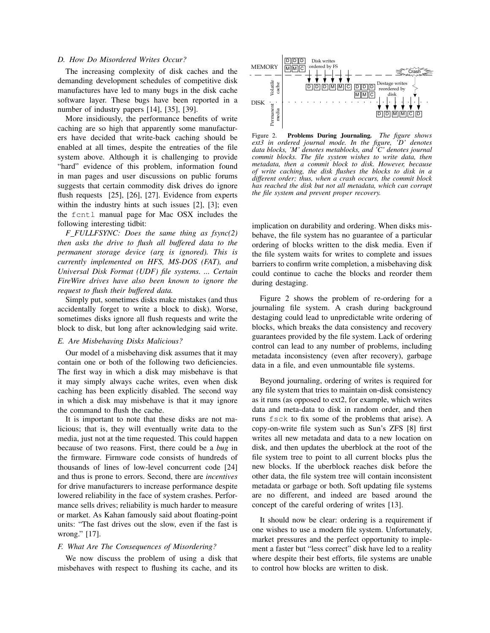# *D. How Do Misordered Writes Occur?*

The increasing complexity of disk caches and the demanding development schedules of competitive disk manufactures have led to many bugs in the disk cache software layer. These bugs have been reported in a number of industry papers [14], [35], [39].

More insidiously, the performance benefits of write caching are so high that apparently some manufacturers have decided that write-back caching should be enabled at all times, despite the entreaties of the file system above. Although it is challenging to provide "hard" evidence of this problem, information found in man pages and user discussions on public forums suggests that certain commodity disk drives do ignore flush requests [25], [26], [27]. Evidence from experts within the industry hints at such issues [2], [3]; even the fcntl manual page for Mac OSX includes the following interesting tidbit:

*F FULLFSYNC: Does the same thing as fsync(2) then asks the drive to flush all buffered data to the permanent storage device (arg is ignored). This is currently implemented on HFS, MS-DOS (FAT), and Universal Disk Format (UDF) file systems. ... Certain FireWire drives have also been known to ignore the request to flush their buffered data.*

Simply put, sometimes disks make mistakes (and thus accidentally forget to write a block to disk). Worse, sometimes disks ignore all flush requests and write the block to disk, but long after acknowledging said write.

#### *E. Are Misbehaving Disks Malicious?*

Our model of a misbehaving disk assumes that it may contain one or both of the following two deficiencies. The first way in which a disk may misbehave is that it may simply always cache writes, even when disk caching has been explicitly disabled. The second way in which a disk may misbehave is that it may ignore the command to flush the cache.

It is important to note that these disks are not malicious; that is, they will eventually write data to the media, just not at the time requested. This could happen because of two reasons. First, there could be a *bug* in the firmware. Firmware code consists of hundreds of thousands of lines of low-level concurrent code [24] and thus is prone to errors. Second, there are *incentives* for drive manufacturers to increase performance despite lowered reliability in the face of system crashes. Performance sells drives; reliability is much harder to measure or market. As Kahan famously said about floating-point units: "The fast drives out the slow, even if the fast is wrong." [17].

## *F. What Are The Consequences of Misordering?*

We now discuss the problem of using a disk that misbehaves with respect to flushing its cache, and its



Figure 2. Problems During Journaling. *The figure shows ext3 in ordered journal mode. In the figure, 'D' denotes data blocks, 'M' denotes metablocks, and 'C' denotes journal commit blocks. The file system wishes to write data, then metadata, then a commit block to disk. However, because of write caching, the disk flushes the blocks to disk in a different order; thus, when a crash occurs, the commit block has reached the disk but not all metadata, which can corrupt the file system and prevent proper recovery.*

implication on durability and ordering. When disks misbehave, the file system has no guarantee of a particular ordering of blocks written to the disk media. Even if the file system waits for writes to complete and issues barriers to confirm write completion, a misbehaving disk could continue to cache the blocks and reorder them during destaging.

Figure 2 shows the problem of re-ordering for a journaling file system. A crash during background destaging could lead to unpredictable write ordering of blocks, which breaks the data consistency and recovery guarantees provided by the file system. Lack of ordering control can lead to any number of problems, including metadata inconsistency (even after recovery), garbage data in a file, and even unmountable file systems.

Beyond journaling, ordering of writes is required for any file system that tries to maintain on-disk consistency as it runs (as opposed to ext2, for example, which writes data and meta-data to disk in random order, and then runs fsck to fix some of the problems that arise). A copy-on-write file system such as Sun's ZFS [8] first writes all new metadata and data to a new location on disk, and then updates the uberblock at the root of the file system tree to point to all current blocks plus the new blocks. If the uberblock reaches disk before the other data, the file system tree will contain inconsistent metadata or garbage or both. Soft updating file systems are no different, and indeed are based around the concept of the careful ordering of writes [13].

It should now be clear: ordering is a requirement if one wishes to use a modern file system. Unfortunately, market pressures and the perfect opportunity to implement a faster but "less correct" disk have led to a reality where despite their best efforts, file systems are unable to control how blocks are written to disk.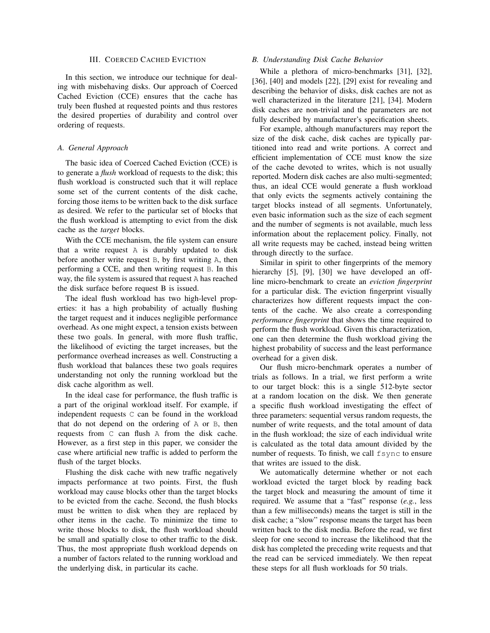# III. COERCED CACHED EVICTION

In this section, we introduce our technique for dealing with misbehaving disks. Our approach of Coerced Cached Eviction (CCE) ensures that the cache has truly been flushed at requested points and thus restores the desired properties of durability and control over ordering of requests.

#### *A. General Approach*

The basic idea of Coerced Cached Eviction (CCE) is to generate a *flush* workload of requests to the disk; this flush workload is constructed such that it will replace some set of the current contents of the disk cache, forcing those items to be written back to the disk surface as desired. We refer to the particular set of blocks that the flush workload is attempting to evict from the disk cache as the *target* blocks.

With the CCE mechanism, the file system can ensure that a write request A is durably updated to disk before another write request B, by first writing A, then performing a CCE, and then writing request B. In this way, the file system is assured that request A has reached the disk surface before request B is issued.

The ideal flush workload has two high-level properties: it has a high probability of actually flushing the target request and it induces negligible performance overhead. As one might expect, a tension exists between these two goals. In general, with more flush traffic, the likelihood of evicting the target increases, but the performance overhead increases as well. Constructing a flush workload that balances these two goals requires understanding not only the running workload but the disk cache algorithm as well.

In the ideal case for performance, the flush traffic is a part of the original workload itself. For example, if independent requests C can be found in the workload that do not depend on the ordering of A or B, then requests from C can flush A from the disk cache. However, as a first step in this paper, we consider the case where artificial new traffic is added to perform the flush of the target blocks.

Flushing the disk cache with new traffic negatively impacts performance at two points. First, the flush workload may cause blocks other than the target blocks to be evicted from the cache. Second, the flush blocks must be written to disk when they are replaced by other items in the cache. To minimize the time to write those blocks to disk, the flush workload should be small and spatially close to other traffic to the disk. Thus, the most appropriate flush workload depends on a number of factors related to the running workload and the underlying disk, in particular its cache.

# *B. Understanding Disk Cache Behavior*

While a plethora of micro-benchmarks [31], [32], [36], [40] and models [22], [29] exist for revealing and describing the behavior of disks, disk caches are not as well characterized in the literature [21], [34]. Modern disk caches are non-trivial and the parameters are not fully described by manufacturer's specification sheets.

For example, although manufacturers may report the size of the disk cache, disk caches are typically partitioned into read and write portions. A correct and efficient implementation of CCE must know the size of the cache devoted to writes, which is not usually reported. Modern disk caches are also multi-segmented; thus, an ideal CCE would generate a flush workload that only evicts the segments actively containing the target blocks instead of all segments. Unfortunately, even basic information such as the size of each segment and the number of segments is not available, much less information about the replacement policy. Finally, not all write requests may be cached, instead being written through directly to the surface.

Similar in spirit to other fingerprints of the memory hierarchy [5], [9], [30] we have developed an offline micro-benchmark to create an *eviction fingerprint* for a particular disk. The eviction fingerprint visually characterizes how different requests impact the contents of the cache. We also create a corresponding *performance fingerprint* that shows the time required to perform the flush workload. Given this characterization, one can then determine the flush workload giving the highest probability of success and the least performance overhead for a given disk.

Our flush micro-benchmark operates a number of trials as follows. In a trial, we first perform a write to our target block: this is a single 512-byte sector at a random location on the disk. We then generate a specific flush workload investigating the effect of three parameters: sequential versus random requests, the number of write requests, and the total amount of data in the flush workload; the size of each individual write is calculated as the total data amount divided by the number of requests. To finish, we call  $f$ sync to ensure that writes are issued to the disk.

We automatically determine whether or not each workload evicted the target block by reading back the target block and measuring the amount of time it required. We assume that a "fast" response (*e.g.*, less than a few milliseconds) means the target is still in the disk cache; a "slow" response means the target has been written back to the disk media. Before the read, we first sleep for one second to increase the likelihood that the disk has completed the preceding write requests and that the read can be serviced immediately. We then repeat these steps for all flush workloads for 50 trials.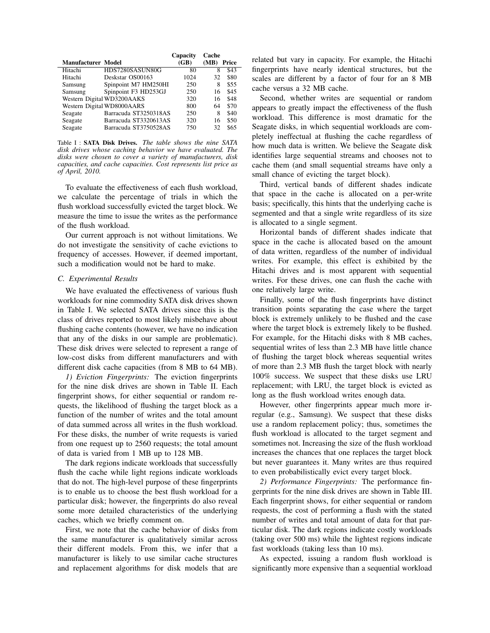|                           |                            | Capacity | Cache |       |
|---------------------------|----------------------------|----------|-------|-------|
| <b>Manufacturer Model</b> |                            | (GB)     | (MB)  | Price |
| Hitachi                   | HDS7280SASUN80G            | 80       | 8     | \$43  |
| Hitachi                   | Deskstar OS00163           | 1024     | 32    | \$80  |
| Samsung                   | Spinpoint M7 HM250HI       | 250      | 8     | \$55  |
| Samsung                   | Spinpoint F3 HD253GJ       | 250      | 16    | \$45  |
|                           | Western Digital WD3200AAKS | 320      | 16    | \$48  |
|                           | Western Digital WD8000AARS | 800      | 64    | \$70  |
| Seagate                   | Barracuda ST3250318AS      | 250      | 8     | \$40  |
| Seagate                   | Barracuda ST3320613AS      | 320      | 16    | \$50  |
| Seagate                   | Barracuda ST3750528AS      | 750      | 32    | \$65  |

Table I : SATA Disk Drives. *The table shows the nine SATA disk drives whose caching behavior we have evaluated. The disks were chosen to cover a variety of manufacturers, disk capacities, and cache capacities. Cost represents list price as of April, 2010.*

To evaluate the effectiveness of each flush workload, we calculate the percentage of trials in which the flush workload successfully evicted the target block. We measure the time to issue the writes as the performance of the flush workload.

Our current approach is not without limitations. We do not investigate the sensitivity of cache evictions to frequency of accesses. However, if deemed important, such a modification would not be hard to make.

# *C. Experimental Results*

We have evaluated the effectiveness of various flush workloads for nine commodity SATA disk drives shown in Table I. We selected SATA drives since this is the class of drives reported to most likely misbehave about flushing cache contents (however, we have no indication that any of the disks in our sample are problematic). These disk drives were selected to represent a range of low-cost disks from different manufacturers and with different disk cache capacities (from 8 MB to 64 MB).

*1) Eviction Fingerprints:* The eviction fingerprints for the nine disk drives are shown in Table II. Each fingerprint shows, for either sequential or random requests, the likelihood of flushing the target block as a function of the number of writes and the total amount of data summed across all writes in the flush workload. For these disks, the number of write requests is varied from one request up to 2560 requests; the total amount of data is varied from 1 MB up to 128 MB.

The dark regions indicate workloads that successfully flush the cache while light regions indicate workloads that do not. The high-level purpose of these fingerprints is to enable us to choose the best flush workload for a particular disk; however, the fingerprints do also reveal some more detailed characteristics of the underlying caches, which we briefly comment on.

First, we note that the cache behavior of disks from the same manufacturer is qualitatively similar across their different models. From this, we infer that a manufacturer is likely to use similar cache structures and replacement algorithms for disk models that are related but vary in capacity. For example, the Hitachi fingerprints have nearly identical structures, but the scales are different by a factor of four for an 8 MB cache versus a 32 MB cache.

Second, whether writes are sequential or random appears to greatly impact the effectiveness of the flush workload. This difference is most dramatic for the Seagate disks, in which sequential workloads are completely ineffectual at flushing the cache regardless of how much data is written. We believe the Seagate disk identifies large sequential streams and chooses not to cache them (and small sequential streams have only a small chance of evicting the target block).

Third, vertical bands of different shades indicate that space in the cache is allocated on a per-write basis; specifically, this hints that the underlying cache is segmented and that a single write regardless of its size is allocated to a single segment.

Horizontal bands of different shades indicate that space in the cache is allocated based on the amount of data written, regardless of the number of individual writes. For example, this effect is exhibited by the Hitachi drives and is most apparent with sequential writes. For these drives, one can flush the cache with one relatively large write.

Finally, some of the flush fingerprints have distinct transition points separating the case where the target block is extremely unlikely to be flushed and the case where the target block is extremely likely to be flushed. For example, for the Hitachi disks with 8 MB caches, sequential writes of less than 2.3 MB have little chance of flushing the target block whereas sequential writes of more than 2.3 MB flush the target block with nearly 100% success. We suspect that these disks use LRU replacement; with LRU, the target block is evicted as long as the flush workload writes enough data.

However, other fingerprints appear much more irregular (e.g., Samsung). We suspect that these disks use a random replacement policy; thus, sometimes the flush workload is allocated to the target segment and sometimes not. Increasing the size of the flush workload increases the chances that one replaces the target block but never guarantees it. Many writes are thus required to even probabilistically evict every target block.

*2) Performance Fingerprints:* The performance fingerprints for the nine disk drives are shown in Table III. Each fingerprint shows, for either sequential or random requests, the cost of performing a flush with the stated number of writes and total amount of data for that particular disk. The dark regions indicate costly workloads (taking over 500 ms) while the lightest regions indicate fast workloads (taking less than 10 ms).

As expected, issuing a random flush workload is significantly more expensive than a sequential workload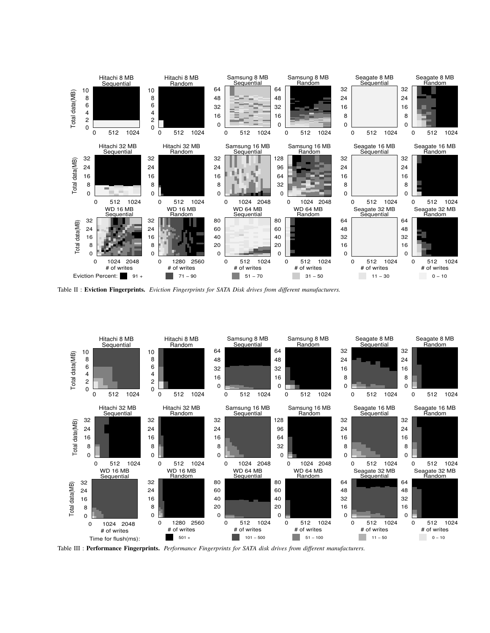

Table II : Eviction Fingerprints. *Eviction Fingerprints for SATA Disk drives from different manufacturers.*



Table III : Performance Fingerprints. *Performance Fingerprints for SATA disk drives from different manufacturers.*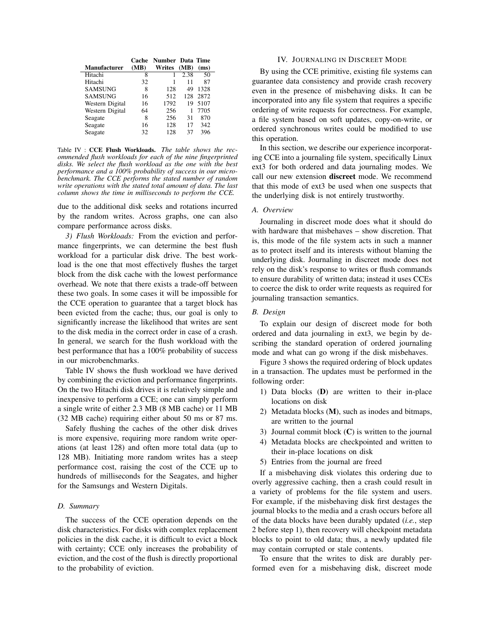| Manufacturer    | Cache<br>(MB) | Number Data Time<br>Writes | (MB) | (ms) |
|-----------------|---------------|----------------------------|------|------|
| Hitachi         | 8             |                            | 2.38 | 50   |
| Hitachi         | 32            | 1                          | 11   | 87   |
| <b>SAMSUNG</b>  | 8             | 128                        | 49   | 1328 |
| SAMSUNG         | 16            | 512                        | 128  | 2872 |
| Western Digital | 16            | 1792                       | 19   | 5107 |
| Western Digital | 64            | 256                        |      | 7705 |
| Seagate         | 8             | 256                        | 31   | 870  |
| Seagate         | 16            | 128                        | 17   | 342  |
| Seagate         | 32            | 128                        | 37   | 396  |

Table IV : CCE Flush Workloads. *The table shows the recommended flush workloads for each of the nine fingerprinted disks. We select the flush workload as the one with the best performance and a 100% probability of success in our microbenchmark. The CCE performs the stated number of random write operations with the stated total amount of data. The last column shows the time in milliseconds to perform the CCE.*

due to the additional disk seeks and rotations incurred by the random writes. Across graphs, one can also compare performance across disks.

*3) Flush Workloads:* From the eviction and performance fingerprints, we can determine the best flush workload for a particular disk drive. The best workload is the one that most effectively flushes the target block from the disk cache with the lowest performance overhead. We note that there exists a trade-off between these two goals. In some cases it will be impossible for the CCE operation to guarantee that a target block has been evicted from the cache; thus, our goal is only to significantly increase the likelihood that writes are sent to the disk media in the correct order in case of a crash. In general, we search for the flush workload with the best performance that has a 100% probability of success in our microbenchmarks.

Table IV shows the flush workload we have derived by combining the eviction and performance fingerprints. On the two Hitachi disk drives it is relatively simple and inexpensive to perform a CCE; one can simply perform a single write of either 2.3 MB (8 MB cache) or 11 MB (32 MB cache) requiring either about 50 ms or 87 ms.

Safely flushing the caches of the other disk drives is more expensive, requiring more random write operations (at least 128) and often more total data (up to 128 MB). Initiating more random writes has a steep performance cost, raising the cost of the CCE up to hundreds of milliseconds for the Seagates, and higher for the Samsungs and Western Digitals.

#### *D. Summary*

The success of the CCE operation depends on the disk characteristics. For disks with complex replacement policies in the disk cache, it is difficult to evict a block with certainty; CCE only increases the probability of eviction, and the cost of the flush is directly proportional to the probability of eviction.

# IV. JOURNALING IN DISCREET MODE

By using the CCE primitive, existing file systems can guarantee data consistency and provide crash recovery even in the presence of misbehaving disks. It can be incorporated into any file system that requires a specific ordering of write requests for correctness. For example, a file system based on soft updates, copy-on-write, or ordered synchronous writes could be modified to use this operation.

In this section, we describe our experience incorporating CCE into a journaling file system, specifically Linux ext3 for both ordered and data journaling modes. We call our new extension discreet mode. We recommend that this mode of ext3 be used when one suspects that the underlying disk is not entirely trustworthy.

# *A. Overview*

Journaling in discreet mode does what it should do with hardware that misbehaves – show discretion. That is, this mode of the file system acts in such a manner as to protect itself and its interests without blaming the underlying disk. Journaling in discreet mode does not rely on the disk's response to writes or flush commands to ensure durability of written data; instead it uses CCEs to coerce the disk to order write requests as required for journaling transaction semantics.

# *B. Design*

To explain our design of discreet mode for both ordered and data journaling in ext3, we begin by describing the standard operation of ordered journaling mode and what can go wrong if the disk misbehaves.

Figure 3 shows the required ordering of block updates in a transaction. The updates must be performed in the following order:

- 1) Data blocks (D) are written to their in-place locations on disk
- 2) Metadata blocks (M), such as inodes and bitmaps, are written to the journal
- 3) Journal commit block  $(C)$  is written to the journal
- 4) Metadata blocks are checkpointed and written to their in-place locations on disk
- 5) Entries from the journal are freed

If a misbehaving disk violates this ordering due to overly aggressive caching, then a crash could result in a variety of problems for the file system and users. For example, if the misbehaving disk first destages the journal blocks to the media and a crash occurs before all of the data blocks have been durably updated (*i.e.*, step 2 before step 1), then recovery will checkpoint metadata blocks to point to old data; thus, a newly updated file may contain corrupted or stale contents.

To ensure that the writes to disk are durably performed even for a misbehaving disk, discreet mode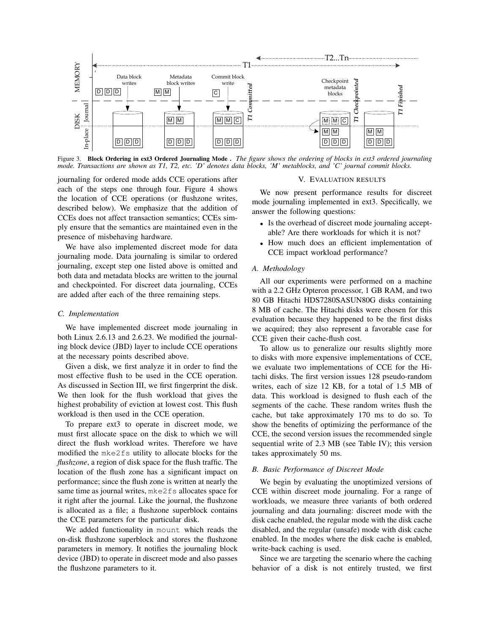

Figure 3. Block Ordering in ext3 Ordered Journaling Mode . *The figure shows the ordering of blocks in ext3 ordered journaling mode. Transactions are shown as T1, T2, etc. 'D' denotes data blocks, 'M' metablocks, and 'C' journal commit blocks.*

journaling for ordered mode adds CCE operations after each of the steps one through four. Figure 4 shows the location of CCE operations (or flushzone writes, described below). We emphasize that the addition of CCEs does not affect transaction semantics; CCEs simply ensure that the semantics are maintained even in the presence of misbehaving hardware.

We have also implemented discreet mode for data journaling mode. Data journaling is similar to ordered journaling, except step one listed above is omitted and both data and metadata blocks are written to the journal and checkpointed. For discreet data journaling, CCEs are added after each of the three remaining steps.

#### *C. Implementation*

We have implemented discreet mode journaling in both Linux 2.6.13 and 2.6.23. We modified the journaling block device (JBD) layer to include CCE operations at the necessary points described above.

Given a disk, we first analyze it in order to find the most effective flush to be used in the CCE operation. As discussed in Section III, we first fingerprint the disk. We then look for the flush workload that gives the highest probability of eviction at lowest cost. This flush workload is then used in the CCE operation.

To prepare ext3 to operate in discreet mode, we must first allocate space on the disk to which we will direct the flush workload writes. Therefore we have modified the mke2fs utility to allocate blocks for the *flushzone*, a region of disk space for the flush traffic. The location of the flush zone has a significant impact on performance; since the flush zone is written at nearly the same time as journal writes, mke2fs allocates space for it right after the journal. Like the journal, the flushzone is allocated as a file; a flushzone superblock contains the CCE parameters for the particular disk.

We added functionality in mount which reads the on-disk flushzone superblock and stores the flushzone parameters in memory. It notifies the journaling block device (JBD) to operate in discreet mode and also passes the flushzone parameters to it.

# V. EVALUATION RESULTS

We now present performance results for discreet mode journaling implemented in ext3. Specifically, we answer the following questions:

- Is the overhead of discreet mode journaling acceptable? Are there workloads for which it is not?
- How much does an efficient implementation of CCE impact workload performance?

# *A. Methodology*

All our experiments were performed on a machine with a 2.2 GHz Opteron processor, 1 GB RAM, and two 80 GB Hitachi HDS7280SASUN80G disks containing 8 MB of cache. The Hitachi disks were chosen for this evaluation because they happened to be the first disks we acquired; they also represent a favorable case for CCE given their cache-flush cost.

To allow us to generalize our results slightly more to disks with more expensive implementations of CCE, we evaluate two implementations of CCE for the Hitachi disks. The first version issues 128 pseudo-random writes, each of size 12 KB, for a total of 1.5 MB of data. This workload is designed to flush each of the segments of the cache. These random writes flush the cache, but take approximately 170 ms to do so. To show the benefits of optimizing the performance of the CCE, the second version issues the recommended single sequential write of 2.3 MB (see Table IV); this version takes approximately 50 ms.

# *B. Basic Performance of Discreet Mode*

We begin by evaluating the unoptimized versions of CCE within discreet mode journaling. For a range of workloads, we measure three variants of both ordered journaling and data journaling: discreet mode with the disk cache enabled, the regular mode with the disk cache disabled, and the regular (unsafe) mode with disk cache enabled. In the modes where the disk cache is enabled, write-back caching is used.

Since we are targeting the scenario where the caching behavior of a disk is not entirely trusted, we first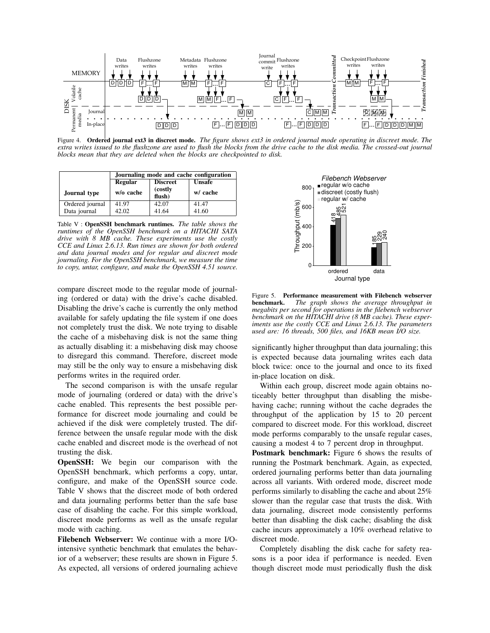

Figure 4. Ordered journal ext3 in discreet mode. *The figure shows ext3 in ordered journal mode operating in discreet mode. The extra writes issued to the flushzone are used to flush the blocks from the drive cache to the disk media. The crossed-out journal blocks mean that they are deleted when the blocks are checkpointed to disk.*

|                 | Journaling mode and cache configuration |                    |          |  |
|-----------------|-----------------------------------------|--------------------|----------|--|
|                 | <b>Regular</b>                          | <b>Discreet</b>    | Unsafe   |  |
| Journal type    | w/o cache                               | (costly)<br>flush) | w/ cache |  |
| Ordered journal | 41.97                                   | 42.07              | 41.47    |  |
| Data journal    | 42.02                                   | 41.64              | 41.60    |  |

Table V : OpenSSH benchmark runtimes. *The table shows the runtimes of the OpenSSH benchmark on a HITACHI SATA drive with 8 MB cache. These experiments use the costly CCE and Linux 2.6.13. Run times are shown for both ordered and data journal modes and for regular and discreet mode journaling. For the OpenSSH benchmark, we measure the time to copy, untar, configure, and make the OpenSSH 4.51 source.*

compare discreet mode to the regular mode of journaling (ordered or data) with the drive's cache disabled. Disabling the drive's cache is currently the only method available for safely updating the file system if one does not completely trust the disk. We note trying to disable the cache of a misbehaving disk is not the same thing as actually disabling it: a misbehaving disk may choose to disregard this command. Therefore, discreet mode may still be the only way to ensure a misbehaving disk performs writes in the required order.

The second comparison is with the unsafe regular mode of journaling (ordered or data) with the drive's cache enabled. This represents the best possible performance for discreet mode journaling and could be achieved if the disk were completely trusted. The difference between the unsafe regular mode with the disk cache enabled and discreet mode is the overhead of not trusting the disk.

OpenSSH: We begin our comparison with the OpenSSH benchmark, which performs a copy, untar, configure, and make of the OpenSSH source code. Table V shows that the discreet mode of both ordered and data journaling performs better than the safe base case of disabling the cache. For this simple workload, discreet mode performs as well as the unsafe regular mode with caching.

Filebench Webserver: We continue with a more I/Ointensive synthetic benchmark that emulates the behavior of a webserver; these results are shown in Figure 5. As expected, all versions of ordered journaling achieve



Figure 5. Performance measurement with Filebench webserver benchmark. *The graph shows the average throughput in megabits per second for operations in the filebench webserver benchmark on the HITACHI drive (8 MB cache). These experiments use the costly CCE and Linux 2.6.13. The parameters used are: 16 threads, 500 files, and 16KB mean I/O size.*

significantly higher throughput than data journaling; this is expected because data journaling writes each data block twice: once to the journal and once to its fixed in-place location on disk.

Within each group, discreet mode again obtains noticeably better throughput than disabling the misbehaving cache; running without the cache degrades the throughput of the application by 15 to 20 percent compared to discreet mode. For this workload, discreet mode performs comparably to the unsafe regular cases, causing a modest 4 to 7 percent drop in throughput.

Postmark benchmark: Figure 6 shows the results of running the Postmark benchmark. Again, as expected, ordered journaling performs better than data journaling across all variants. With ordered mode, discreet mode performs similarly to disabling the cache and about 25% slower than the regular case that trusts the disk. With data journaling, discreet mode consistently performs better than disabling the disk cache; disabling the disk cache incurs approximately a 10% overhead relative to discreet mode.

Completely disabling the disk cache for safety reasons is a poor idea if performance is needed. Even though discreet mode must periodically flush the disk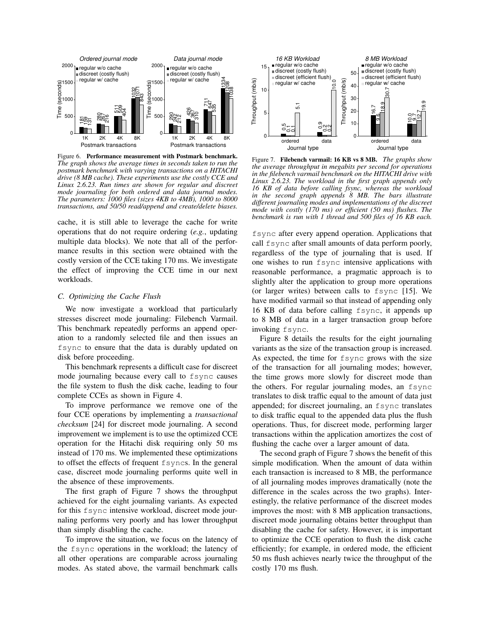

Figure 6. Performance measurement with Postmark benchmark. *The graph shows the average times in seconds taken to run the postmark benchmark with varying transactions on a HITACHI drive (8 MB cache). These experiments use the costly CCE and Linux 2.6.23. Run times are shown for regular and discreet mode journaling for both ordered and data journal modes. The parameters: 1000 files (sizes 4KB to 4MB), 1000 to 8000 transactions, and 50/50 read/append and create/delete biases.*

cache, it is still able to leverage the cache for write operations that do not require ordering (*e.g.*, updating multiple data blocks). We note that all of the performance results in this section were obtained with the costly version of the CCE taking 170 ms. We investigate the effect of improving the CCE time in our next workloads.

#### *C. Optimizing the Cache Flush*

We now investigate a workload that particularly stresses discreet mode journaling: Filebench Varmail. This benchmark repeatedly performs an append operation to a randomly selected file and then issues an fsync to ensure that the data is durably updated on disk before proceeding.

This benchmark represents a difficult case for discreet mode journaling because every call to fsync causes the file system to flush the disk cache, leading to four complete CCEs as shown in Figure 4.

To improve performance we remove one of the four CCE operations by implementing a *transactional checksum* [24] for discreet mode journaling. A second improvement we implement is to use the optimized CCE operation for the Hitachi disk requiring only 50 ms instead of 170 ms. We implemented these optimizations to offset the effects of frequent fsyncs. In the general case, discreet mode journaling performs quite well in the absence of these improvements.

The first graph of Figure 7 shows the throughput achieved for the eight journaling variants. As expected for this fsync intensive workload, discreet mode journaling performs very poorly and has lower throughput than simply disabling the cache.

To improve the situation, we focus on the latency of the fsync operations in the workload; the latency of all other operations are comparable across journaling modes. As stated above, the varmail benchmark calls



Figure 7. Filebench varmail: 16 KB vs 8 MB. *The graphs show the average throughput in megabits per second for operations in the filebench varmail benchmark on the HITACHI drive with Linux 2.6.23. The workload in the first graph appends only 16 KB of data before calling fsync, whereas the workload in the second graph appends 8 MB. The bars illustrate different journaling modes and implementations of the discreet mode with costly (170 ms) or efficient (50 ms) flushes. The benchmark is run with 1 thread and 500 files of 16 KB each.*

fsync after every append operation. Applications that call fsync after small amounts of data perform poorly, regardless of the type of journaling that is used. If one wishes to run fsync intensive applications with reasonable performance, a pragmatic approach is to slightly alter the application to group more operations (or larger writes) between calls to fsync [15]. We have modified varmail so that instead of appending only 16 KB of data before calling fsync, it appends up to 8 MB of data in a larger transaction group before invoking fsync.

Figure 8 details the results for the eight journaling variants as the size of the transaction group is increased. As expected, the time for fsync grows with the size of the transaction for all journaling modes; however, the time grows more slowly for discreet mode than the others. For regular journaling modes, an fsync translates to disk traffic equal to the amount of data just appended; for discreet journaling, an fsync translates to disk traffic equal to the appended data plus the flush operations. Thus, for discreet mode, performing larger transactions within the application amortizes the cost of flushing the cache over a larger amount of data.

The second graph of Figure 7 shows the benefit of this simple modification. When the amount of data within each transaction is increased to 8 MB, the performance of all journaling modes improves dramatically (note the difference in the scales across the two graphs). Interestingly, the relative performance of the discreet modes improves the most: with 8 MB application transactions, discreet mode journaling obtains better throughput than disabling the cache for safety. However, it is important to optimize the CCE operation to flush the disk cache efficiently; for example, in ordered mode, the efficient 50 ms flush achieves nearly twice the throughput of the costly 170 ms flush.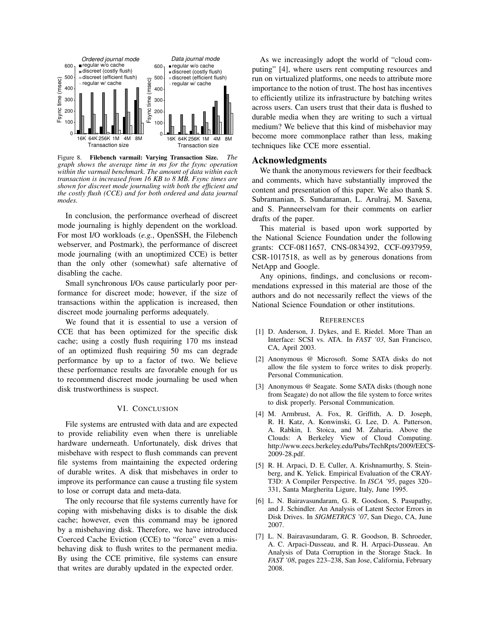

Figure 8. Filebench varmail: Varying Transaction Size. *The graph shows the average time in ms for the fsync operation within the varmail benchmark. The amount of data within each transaction is increased from 16 KB to 8 MB. Fsync times are shown for discreet mode journaling with both the efficient and the costly flush (CCE) and for both ordered and data journal modes.*

In conclusion, the performance overhead of discreet mode journaling is highly dependent on the workload. For most I/O workloads (*e.g.*, OpenSSH, the Filebench webserver, and Postmark), the performance of discreet mode journaling (with an unoptimized CCE) is better than the only other (somewhat) safe alternative of disabling the cache.

Small synchronous I/Os cause particularly poor performance for discreet mode; however, if the size of transactions within the application is increased, then discreet mode journaling performs adequately.

We found that it is essential to use a version of CCE that has been optimized for the specific disk cache; using a costly flush requiring 170 ms instead of an optimized flush requiring 50 ms can degrade performance by up to a factor of two. We believe these performance results are favorable enough for us to recommend discreet mode journaling be used when disk trustworthiness is suspect.

# VI. CONCLUSION

File systems are entrusted with data and are expected to provide reliability even when there is unreliable hardware underneath. Unfortunately, disk drives that misbehave with respect to flush commands can prevent file systems from maintaining the expected ordering of durable writes. A disk that misbehaves in order to improve its performance can cause a trusting file system to lose or corrupt data and meta-data.

The only recourse that file systems currently have for coping with misbehaving disks is to disable the disk cache; however, even this command may be ignored by a misbehaving disk. Therefore, we have introduced Coerced Cache Eviction (CCE) to "force" even a misbehaving disk to flush writes to the permanent media. By using the CCE primitive, file systems can ensure that writes are durably updated in the expected order.

As we increasingly adopt the world of "cloud computing" [4], where users rent computing resources and run on virtualized platforms, one needs to attribute more importance to the notion of trust. The host has incentives to efficiently utilize its infrastructure by batching writes across users. Can users trust that their data is flushed to durable media when they are writing to such a virtual medium? We believe that this kind of misbehavior may become more commonplace rather than less, making techniques like CCE more essential.

## Acknowledgments

We thank the anonymous reviewers for their feedback and comments, which have substantially improved the content and presentation of this paper. We also thank S. Subramanian, S. Sundaraman, L. Arulraj, M. Saxena, and S. Panneerselvam for their comments on earlier drafts of the paper.

This material is based upon work supported by the National Science Foundation under the following grants: CCF-0811657, CNS-0834392, CCF-0937959, CSR-1017518, as well as by generous donations from NetApp and Google.

Any opinions, findings, and conclusions or recommendations expressed in this material are those of the authors and do not necessarily reflect the views of the National Science Foundation or other institutions.

#### **REFERENCES**

- [1] D. Anderson, J. Dykes, and E. Riedel. More Than an Interface: SCSI vs. ATA. In *FAST '03*, San Francisco, CA, April 2003.
- [2] Anonymous @ Microsoft. Some SATA disks do not allow the file system to force writes to disk properly. Personal Communication.
- [3] Anonymous @ Seagate. Some SATA disks (though none from Seagate) do not allow the file system to force writes to disk properly. Personal Communication.
- [4] M. Armbrust, A. Fox, R. Griffith, A. D. Joseph, R. H. Katz, A. Konwinski, G. Lee, D. A. Patterson, A. Rabkin, I. Stoica, and M. Zaharia. Above the Clouds: A Berkeley View of Cloud Computing. http://www.eecs.berkeley.edu/Pubs/TechRpts/2009/EECS-2009-28.pdf.
- [5] R. H. Arpaci, D. E. Culler, A. Krishnamurthy, S. Steinberg, and K. Yelick. Empirical Evaluation of the CRAY-T3D: A Compiler Perspective. In *ISCA '95*, pages 320– 331, Santa Margherita Ligure, Italy, June 1995.
- [6] L. N. Bairavasundaram, G. R. Goodson, S. Pasupathy, and J. Schindler. An Analysis of Latent Sector Errors in Disk Drives. In *SIGMETRICS '07*, San Diego, CA, June 2007.
- [7] L. N. Bairavasundaram, G. R. Goodson, B. Schroeder, A. C. Arpaci-Dusseau, and R. H. Arpaci-Dusseau. An Analysis of Data Corruption in the Storage Stack. In *FAST '08*, pages 223–238, San Jose, California, February 2008.